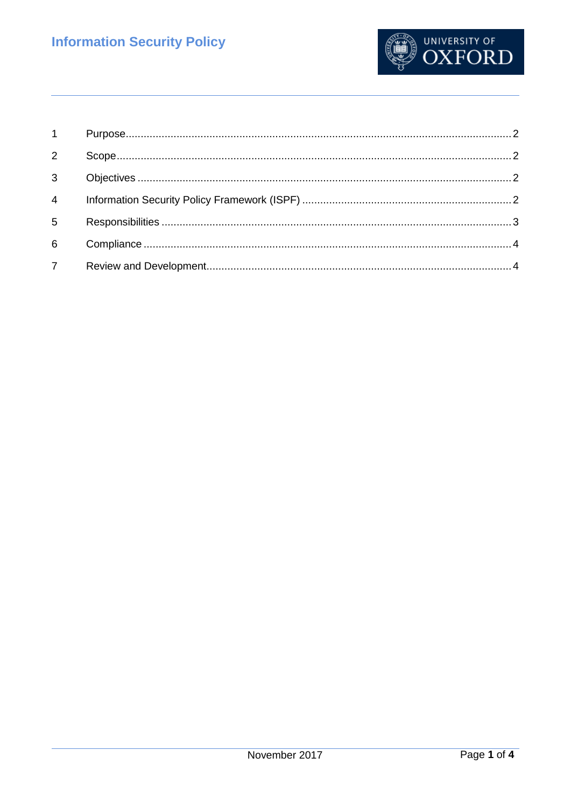

| $1 \quad \blacksquare$ |  |
|------------------------|--|
| $2^{\circ}$            |  |
| 3 <sup>1</sup>         |  |
| 4 <sup>1</sup>         |  |
| $5\overline{)}$        |  |
| 6                      |  |
| 7 <sup>7</sup>         |  |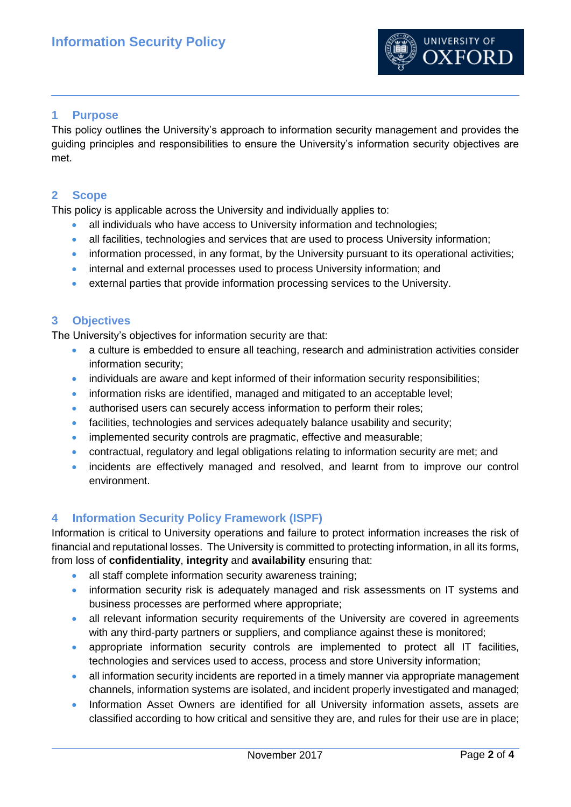

### <span id="page-1-0"></span>**1 Purpose**

This policy outlines the University's approach to information security management and provides the guiding principles and responsibilities to ensure the University's information security objectives are met.

#### <span id="page-1-1"></span>**2 Scope**

This policy is applicable across the University and individually applies to:

- all individuals who have access to University information and technologies;
- all facilities, technologies and services that are used to process University information;
- information processed, in any format, by the University pursuant to its operational activities;
- internal and external processes used to process University information; and
- external parties that provide information processing services to the University.

#### <span id="page-1-2"></span>**3 Objectives**

The University's objectives for information security are that:

- a culture is embedded to ensure all teaching, research and administration activities consider information security;
- individuals are aware and kept informed of their information security responsibilities;
- information risks are identified, managed and mitigated to an acceptable level;
- authorised users can securely access information to perform their roles;
- facilities, technologies and services adequately balance usability and security;
- implemented security controls are pragmatic, effective and measurable;
- contractual, regulatory and legal obligations relating to information security are met; and
- incidents are effectively managed and resolved, and learnt from to improve our control environment.

#### <span id="page-1-3"></span>**4 Information Security Policy Framework (ISPF)**

Information is critical to University operations and failure to protect information increases the risk of financial and reputational losses. The University is committed to protecting information, in all its forms, from loss of **confidentiality**, **integrity** and **availability** ensuring that:

- all staff complete information security awareness training;
- information security risk is adequately managed and risk assessments on IT systems and business processes are performed where appropriate;
- all relevant information security requirements of the University are covered in agreements with any third-party partners or suppliers, and compliance against these is monitored;
- appropriate information security controls are implemented to protect all IT facilities, technologies and services used to access, process and store University information;
- all information security incidents are reported in a timely manner via appropriate management channels, information systems are isolated, and incident properly investigated and managed;
- Information Asset Owners are identified for all University information assets, assets are classified according to how critical and sensitive they are, and rules for their use are in place;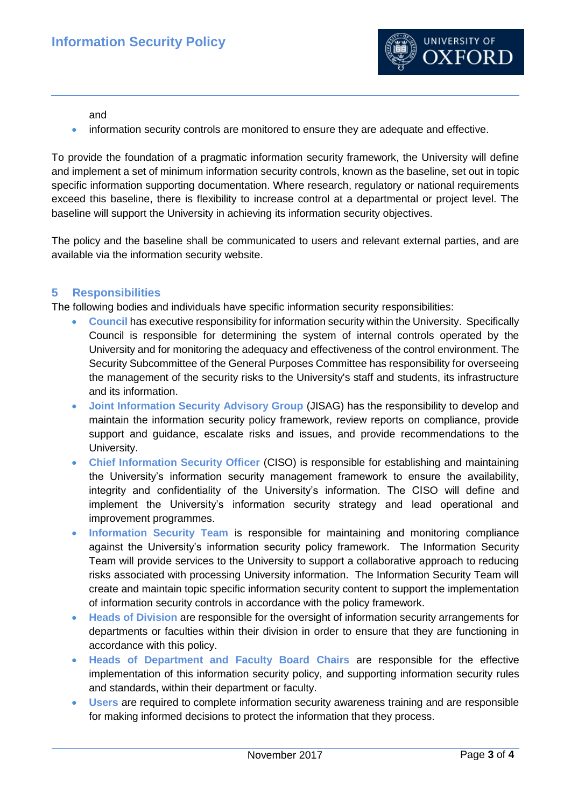

and

**•** information security controls are monitored to ensure they are adequate and effective.

To provide the foundation of a pragmatic information security framework, the University will define and implement a set of minimum information security controls, known as the baseline, set out in topic specific information supporting documentation. Where research, regulatory or national requirements exceed this baseline, there is flexibility to increase control at a departmental or project level. The baseline will support the University in achieving its information security objectives.

The policy and the baseline shall be communicated to users and relevant external parties, and are available via the information security website.

# <span id="page-2-0"></span>**5 Responsibilities**

The following bodies and individuals have specific information security responsibilities:

- **Council** has executive responsibility for information security within the University. Specifically Council is responsible for determining the system of internal controls operated by the University and for monitoring the adequacy and effectiveness of the control environment. The Security Subcommittee of the General Purposes Committee has responsibility for overseeing the management of the security risks to the University's staff and students, its infrastructure and its information.
- **Joint Information Security Advisory Group** (JISAG) has the responsibility to develop and maintain the information security policy framework, review reports on compliance, provide support and guidance, escalate risks and issues, and provide recommendations to the University.
- **Chief Information Security Officer** (CISO) is responsible for establishing and maintaining the University's information security management framework to ensure the availability, integrity and confidentiality of the University's information. The CISO will define and implement the University's information security strategy and lead operational and improvement programmes.
- **Information Security Team** is responsible for maintaining and monitoring compliance against the University's information security policy framework. The Information Security Team will provide services to the University to support a collaborative approach to reducing risks associated with processing University information. The Information Security Team will create and maintain topic specific information security content to support the implementation of information security controls in accordance with the policy framework.
- **Heads of Division** are responsible for the oversight of information security arrangements for departments or faculties within their division in order to ensure that they are functioning in accordance with this policy.
- **Heads of Department and Faculty Board Chairs** are responsible for the effective implementation of this information security policy, and supporting information security rules and standards, within their department or faculty.
- **Users** are required to complete information security awareness training and are responsible for making informed decisions to protect the information that they process.